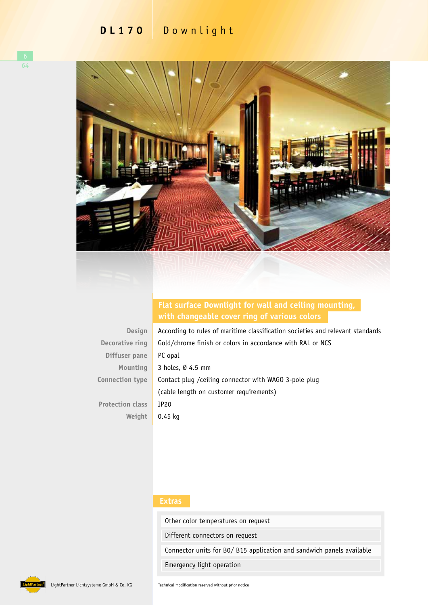## **DL170** Downlight



## **Flat surface Downlight for wall and ceiling mounting, with changeable cover ring of various colors**

**Design Decorative ring Diffuser pane Mounting Connection type Protection class**

**Weight**

According to rules of maritime classification societies and relevant standards Gold/chrome finish or colors in accordance with RAL or NCS PC opal 3 holes, Ø 4.5 mm Contact plug /ceiling connector with WAGO 3-pole plug (cable length on customer requirements) IP20 0.45 kg

## **Extras**

Other color temperatures on request

Different connectors on request

Connector units for B0/ B15 application and sandwich panels available

Emergency light operation